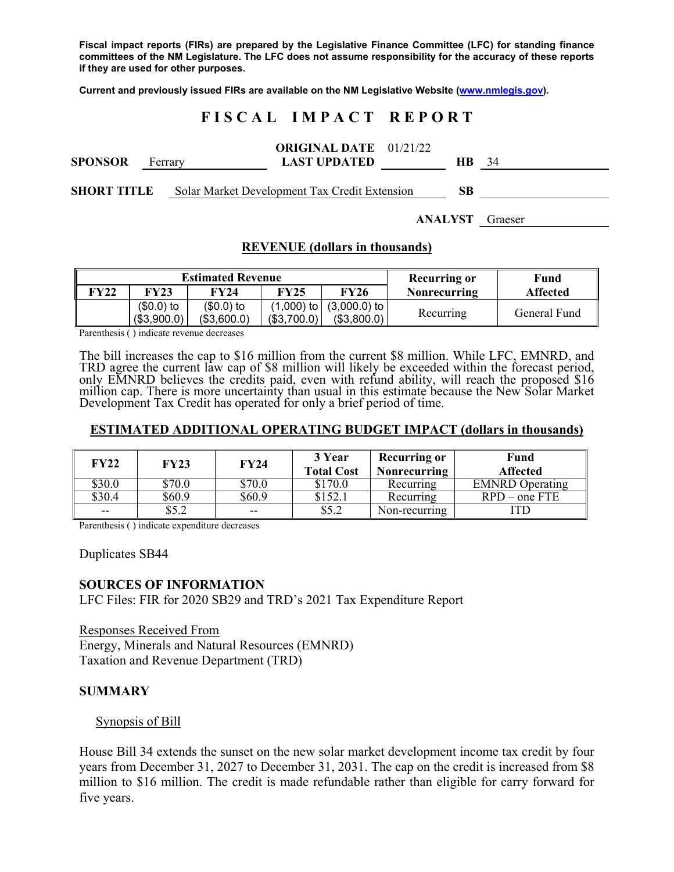**Fiscal impact reports (FIRs) are prepared by the Legislative Finance Committee (LFC) for standing finance committees of the NM Legislature. The LFC does not assume responsibility for the accuracy of these reports if they are used for other purposes.** 

**Current and previously issued FIRs are available on the NM Legislative Website (www.nmlegis.gov).** 

# **F I S C A L I M P A C T R E P O R T**

| <b>SPONSOR</b> | Ferrary | <b>ORIGINAL DATE</b> $01/21/22$<br><b>LAST UPDATED</b> | HB. | 34 |
|----------------|---------|--------------------------------------------------------|-----|----|
| SHORT TITLE    |         | Solar Market Development Tax Credit Extension          | SВ  |    |

**ANALYST** Graeser

#### **REVENUE (dollars in thousands)**

| <b>Estimated Revenue</b> |             |             |             |                             | <b>Recurring or</b> | Fund         |
|--------------------------|-------------|-------------|-------------|-----------------------------|---------------------|--------------|
| FY22                     | FY23        | <b>FY24</b> | <b>FY25</b> | <b>FY26</b>                 | <b>Nonrecurring</b> | Affected     |
|                          | $($0.0)$ to | $($0.0)$ to |             | $(1,000)$ to $(3,000.0)$ to | Recurring           | General Fund |
|                          | (\$3,900.0) | (\$3,600.0) | (\$3,700.0) | (\$3,800.0)                 |                     |              |

Parenthesis ( ) indicate revenue decreases

The bill increases the cap to \$16 million from the current \$8 million. While LFC, EMNRD, and TRD agree the current law cap of \$8 million will likely be exceeded within the forecast period, only EMNRD believes the credits paid, even with refund ability, will reach the proposed \$16<br>million cap. There is more uncertainty than usual in this estimate because the New Solar Market Development Tax Credit has operated for only a brief period of time.

#### **ESTIMATED ADDITIONAL OPERATING BUDGET IMPACT (dollars in thousands)**

| FY22   | <b>FY23</b> | <b>FY24</b> | 3 Year<br><b>Total Cost</b> | <b>Recurring or</b><br>Nonrecurring | Fund<br><b>Affected</b>           |
|--------|-------------|-------------|-----------------------------|-------------------------------------|-----------------------------------|
| 30.0   | \$70.0      | \$70.0      | \$170.0                     | Recurring                           | <b>EMNRD</b> Operating            |
| \$30.4 | \$60.9      | \$60.9      | \$152.1                     | Recurring                           | $\overline{\text{RPD}}$ – one FTE |
| $- -$  | \$5.2       | $- -$       | \$5.2                       | Non-recurring                       |                                   |

Parenthesis ( ) indicate expenditure decreases

Duplicates SB44

#### **SOURCES OF INFORMATION**

LFC Files: FIR for 2020 SB29 and TRD's 2021 Tax Expenditure Report

Responses Received From Energy, Minerals and Natural Resources (EMNRD) Taxation and Revenue Department (TRD)

#### **SUMMARY**

Synopsis of Bill

House Bill 34 extends the sunset on the new solar market development income tax credit by four years from December 31, 2027 to December 31, 2031. The cap on the credit is increased from \$8 million to \$16 million. The credit is made refundable rather than eligible for carry forward for five years.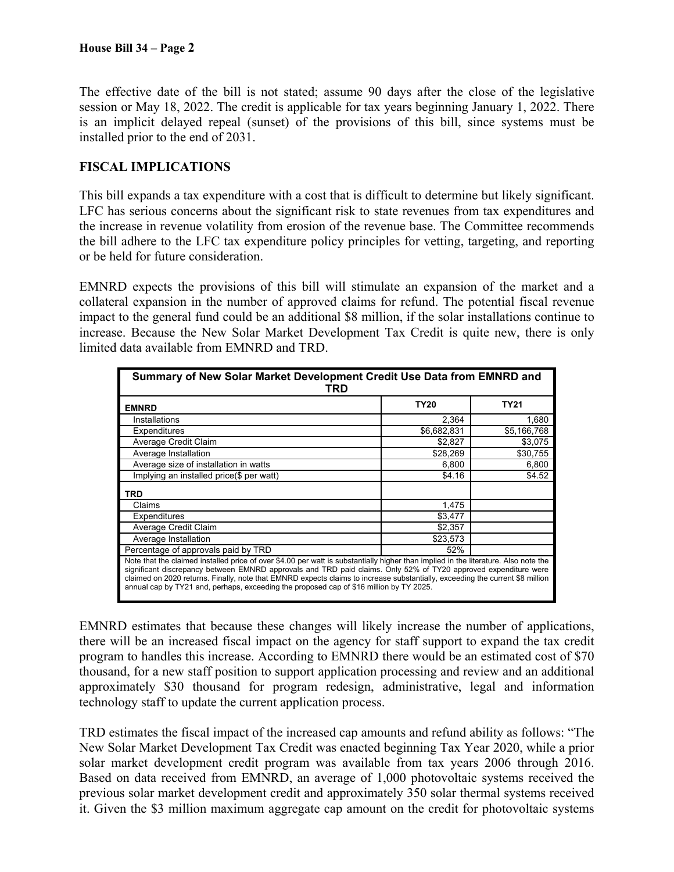The effective date of the bill is not stated; assume 90 days after the close of the legislative session or May 18, 2022. The credit is applicable for tax years beginning January 1, 2022. There is an implicit delayed repeal (sunset) of the provisions of this bill, since systems must be installed prior to the end of 2031.

## **FISCAL IMPLICATIONS**

This bill expands a tax expenditure with a cost that is difficult to determine but likely significant. LFC has serious concerns about the significant risk to state revenues from tax expenditures and the increase in revenue volatility from erosion of the revenue base. The Committee recommends the bill adhere to the LFC tax expenditure policy principles for vetting, targeting, and reporting or be held for future consideration.

EMNRD expects the provisions of this bill will stimulate an expansion of the market and a collateral expansion in the number of approved claims for refund. The potential fiscal revenue impact to the general fund could be an additional \$8 million, if the solar installations continue to increase. Because the New Solar Market Development Tax Credit is quite new, there is only limited data available from EMNRD and TRD.

| Summary of New Solar Market Development Credit Use Data from EMNRD and<br>TRD                                                                                                                                                                                                                                                                                                                                                                                                      |             |             |  |  |
|------------------------------------------------------------------------------------------------------------------------------------------------------------------------------------------------------------------------------------------------------------------------------------------------------------------------------------------------------------------------------------------------------------------------------------------------------------------------------------|-------------|-------------|--|--|
| <b>EMNRD</b>                                                                                                                                                                                                                                                                                                                                                                                                                                                                       | <b>TY20</b> | <b>TY21</b> |  |  |
| <b>Installations</b>                                                                                                                                                                                                                                                                                                                                                                                                                                                               | 2.364       | 1.680       |  |  |
| Expenditures                                                                                                                                                                                                                                                                                                                                                                                                                                                                       | \$6,682,831 | \$5,166,768 |  |  |
| Average Credit Claim                                                                                                                                                                                                                                                                                                                                                                                                                                                               | \$2,827     | \$3,075     |  |  |
| Average Installation                                                                                                                                                                                                                                                                                                                                                                                                                                                               | \$28,269    | \$30,755    |  |  |
| Average size of installation in watts                                                                                                                                                                                                                                                                                                                                                                                                                                              | 6,800       | 6,800       |  |  |
| Implying an installed price(\$ per watt)                                                                                                                                                                                                                                                                                                                                                                                                                                           | \$4.16      | \$4.52      |  |  |
| TRD                                                                                                                                                                                                                                                                                                                                                                                                                                                                                |             |             |  |  |
| Claims                                                                                                                                                                                                                                                                                                                                                                                                                                                                             | 1,475       |             |  |  |
| Expenditures                                                                                                                                                                                                                                                                                                                                                                                                                                                                       | \$3,477     |             |  |  |
| Average Credit Claim                                                                                                                                                                                                                                                                                                                                                                                                                                                               | \$2,357     |             |  |  |
| Average Installation                                                                                                                                                                                                                                                                                                                                                                                                                                                               | \$23,573    |             |  |  |
| Percentage of approvals paid by TRD                                                                                                                                                                                                                                                                                                                                                                                                                                                | 52%         |             |  |  |
| Note that the claimed installed price of over \$4.00 per watt is substantially higher than implied in the literature. Also note the<br>significant discrepancy between EMNRD approvals and TRD paid claims. Only 52% of TY20 approved expenditure were<br>claimed on 2020 returns. Finally, note that EMNRD expects claims to increase substantially, exceeding the current \$8 million<br>annual cap by TY21 and, perhaps, exceeding the proposed cap of \$16 million by TY 2025. |             |             |  |  |

EMNRD estimates that because these changes will likely increase the number of applications, there will be an increased fiscal impact on the agency for staff support to expand the tax credit program to handles this increase. According to EMNRD there would be an estimated cost of \$70 thousand, for a new staff position to support application processing and review and an additional approximately \$30 thousand for program redesign, administrative, legal and information technology staff to update the current application process.

TRD estimates the fiscal impact of the increased cap amounts and refund ability as follows: "The New Solar Market Development Tax Credit was enacted beginning Tax Year 2020, while a prior solar market development credit program was available from tax years 2006 through 2016. Based on data received from EMNRD, an average of 1,000 photovoltaic systems received the previous solar market development credit and approximately 350 solar thermal systems received it. Given the \$3 million maximum aggregate cap amount on the credit for photovoltaic systems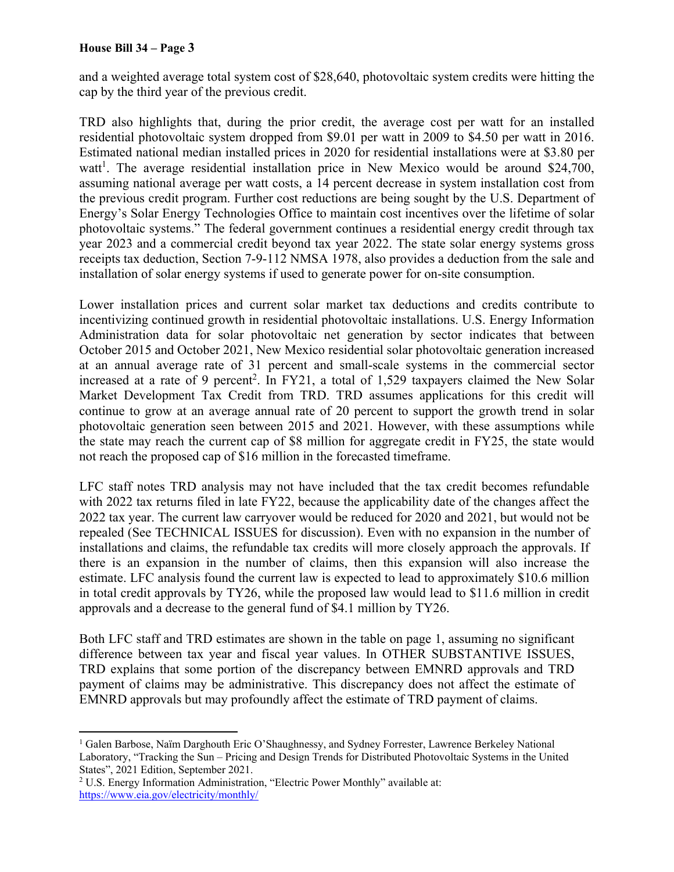#### **House Bill 34 – Page 3**

and a weighted average total system cost of \$28,640, photovoltaic system credits were hitting the cap by the third year of the previous credit.

TRD also highlights that, during the prior credit, the average cost per watt for an installed residential photovoltaic system dropped from \$9.01 per watt in 2009 to \$4.50 per watt in 2016. Estimated national median installed prices in 2020 for residential installations were at \$3.80 per watt<sup>1</sup>. The average residential installation price in New Mexico would be around \$24,700, assuming national average per watt costs, a 14 percent decrease in system installation cost from the previous credit program. Further cost reductions are being sought by the U.S. Department of Energy's Solar Energy Technologies Office to maintain cost incentives over the lifetime of solar photovoltaic systems." The federal government continues a residential energy credit through tax year 2023 and a commercial credit beyond tax year 2022. The state solar energy systems gross receipts tax deduction, Section 7-9-112 NMSA 1978, also provides a deduction from the sale and installation of solar energy systems if used to generate power for on-site consumption.

Lower installation prices and current solar market tax deductions and credits contribute to incentivizing continued growth in residential photovoltaic installations. U.S. Energy Information Administration data for solar photovoltaic net generation by sector indicates that between October 2015 and October 2021, New Mexico residential solar photovoltaic generation increased at an annual average rate of 31 percent and small-scale systems in the commercial sector increased at a rate of 9 percent<sup>2</sup>. In FY21, a total of 1,529 taxpayers claimed the New Solar Market Development Tax Credit from TRD. TRD assumes applications for this credit will continue to grow at an average annual rate of 20 percent to support the growth trend in solar photovoltaic generation seen between 2015 and 2021. However, with these assumptions while the state may reach the current cap of \$8 million for aggregate credit in FY25, the state would not reach the proposed cap of \$16 million in the forecasted timeframe.

LFC staff notes TRD analysis may not have included that the tax credit becomes refundable with 2022 tax returns filed in late FY22, because the applicability date of the changes affect the 2022 tax year. The current law carryover would be reduced for 2020 and 2021, but would not be repealed (See TECHNICAL ISSUES for discussion). Even with no expansion in the number of installations and claims, the refundable tax credits will more closely approach the approvals. If there is an expansion in the number of claims, then this expansion will also increase the estimate. LFC analysis found the current law is expected to lead to approximately \$10.6 million in total credit approvals by TY26, while the proposed law would lead to \$11.6 million in credit approvals and a decrease to the general fund of \$4.1 million by TY26.

Both LFC staff and TRD estimates are shown in the table on page 1, assuming no significant difference between tax year and fiscal year values. In OTHER SUBSTANTIVE ISSUES, TRD explains that some portion of the discrepancy between EMNRD approvals and TRD payment of claims may be administrative. This discrepancy does not affect the estimate of EMNRD approvals but may profoundly affect the estimate of TRD payment of claims.

 $\overline{a}$ <sup>1</sup> Galen Barbose, Naïm Darghouth Eric O'Shaughnessy, and Sydney Forrester, Lawrence Berkeley National Laboratory, "Tracking the Sun – Pricing and Design Trends for Distributed Photovoltaic Systems in the United States", 2021 Edition, September 2021.

<sup>&</sup>lt;sup>2</sup> U.S. Energy Information Administration, "Electric Power Monthly" available at: https://www.eia.gov/electricity/monthly/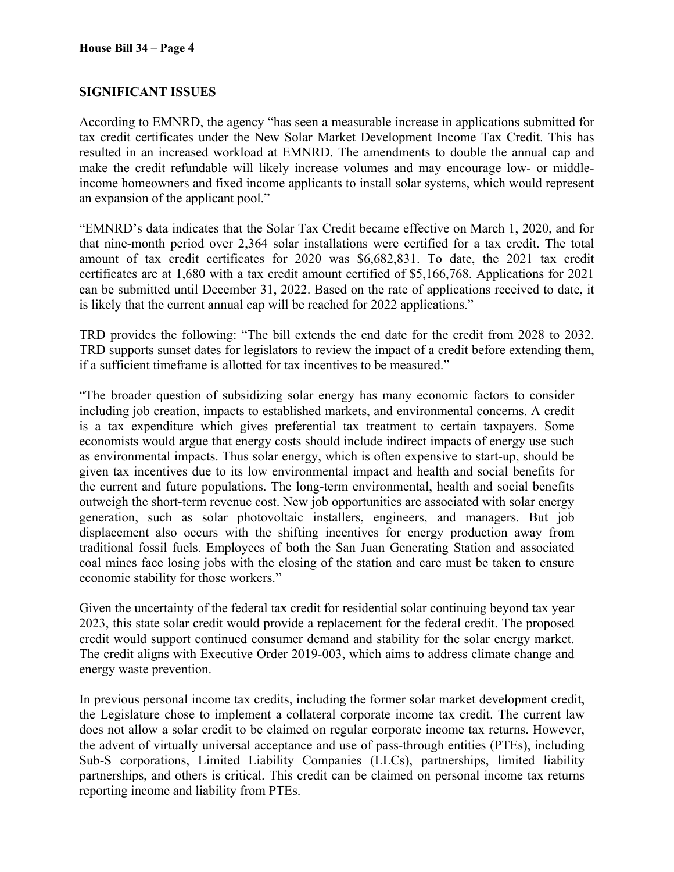## **SIGNIFICANT ISSUES**

According to EMNRD, the agency "has seen a measurable increase in applications submitted for tax credit certificates under the New Solar Market Development Income Tax Credit. This has resulted in an increased workload at EMNRD. The amendments to double the annual cap and make the credit refundable will likely increase volumes and may encourage low- or middleincome homeowners and fixed income applicants to install solar systems, which would represent an expansion of the applicant pool."

"EMNRD's data indicates that the Solar Tax Credit became effective on March 1, 2020, and for that nine-month period over 2,364 solar installations were certified for a tax credit. The total amount of tax credit certificates for 2020 was \$6,682,831. To date, the 2021 tax credit certificates are at 1,680 with a tax credit amount certified of \$5,166,768. Applications for 2021 can be submitted until December 31, 2022. Based on the rate of applications received to date, it is likely that the current annual cap will be reached for 2022 applications."

TRD provides the following: "The bill extends the end date for the credit from 2028 to 2032. TRD supports sunset dates for legislators to review the impact of a credit before extending them, if a sufficient timeframe is allotted for tax incentives to be measured."

"The broader question of subsidizing solar energy has many economic factors to consider including job creation, impacts to established markets, and environmental concerns. A credit is a tax expenditure which gives preferential tax treatment to certain taxpayers. Some economists would argue that energy costs should include indirect impacts of energy use such as environmental impacts. Thus solar energy, which is often expensive to start-up, should be given tax incentives due to its low environmental impact and health and social benefits for the current and future populations. The long-term environmental, health and social benefits outweigh the short-term revenue cost. New job opportunities are associated with solar energy generation, such as solar photovoltaic installers, engineers, and managers. But job displacement also occurs with the shifting incentives for energy production away from traditional fossil fuels. Employees of both the San Juan Generating Station and associated coal mines face losing jobs with the closing of the station and care must be taken to ensure economic stability for those workers."

Given the uncertainty of the federal tax credit for residential solar continuing beyond tax year 2023, this state solar credit would provide a replacement for the federal credit. The proposed credit would support continued consumer demand and stability for the solar energy market. The credit aligns with Executive Order 2019-003, which aims to address climate change and energy waste prevention.

In previous personal income tax credits, including the former solar market development credit, the Legislature chose to implement a collateral corporate income tax credit. The current law does not allow a solar credit to be claimed on regular corporate income tax returns. However, the advent of virtually universal acceptance and use of pass-through entities (PTEs), including Sub-S corporations, Limited Liability Companies (LLCs), partnerships, limited liability partnerships, and others is critical. This credit can be claimed on personal income tax returns reporting income and liability from PTEs.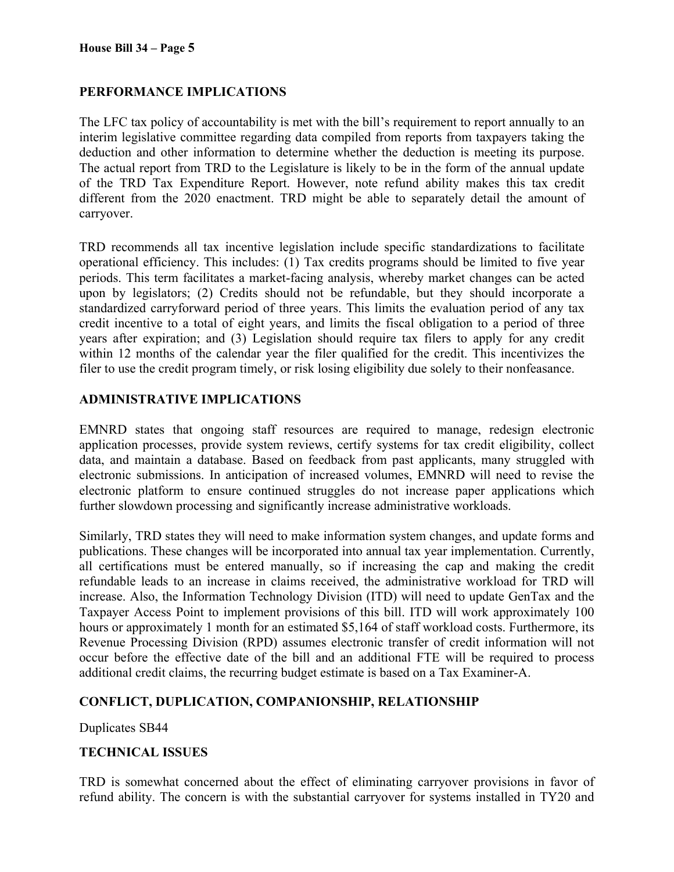## **PERFORMANCE IMPLICATIONS**

The LFC tax policy of accountability is met with the bill's requirement to report annually to an interim legislative committee regarding data compiled from reports from taxpayers taking the deduction and other information to determine whether the deduction is meeting its purpose. The actual report from TRD to the Legislature is likely to be in the form of the annual update of the TRD Tax Expenditure Report. However, note refund ability makes this tax credit different from the 2020 enactment. TRD might be able to separately detail the amount of carryover.

TRD recommends all tax incentive legislation include specific standardizations to facilitate operational efficiency. This includes: (1) Tax credits programs should be limited to five year periods. This term facilitates a market-facing analysis, whereby market changes can be acted upon by legislators; (2) Credits should not be refundable, but they should incorporate a standardized carryforward period of three years. This limits the evaluation period of any tax credit incentive to a total of eight years, and limits the fiscal obligation to a period of three years after expiration; and (3) Legislation should require tax filers to apply for any credit within 12 months of the calendar year the filer qualified for the credit. This incentivizes the filer to use the credit program timely, or risk losing eligibility due solely to their nonfeasance.

## **ADMINISTRATIVE IMPLICATIONS**

EMNRD states that ongoing staff resources are required to manage, redesign electronic application processes, provide system reviews, certify systems for tax credit eligibility, collect data, and maintain a database. Based on feedback from past applicants, many struggled with electronic submissions. In anticipation of increased volumes, EMNRD will need to revise the electronic platform to ensure continued struggles do not increase paper applications which further slowdown processing and significantly increase administrative workloads.

Similarly, TRD states they will need to make information system changes, and update forms and publications. These changes will be incorporated into annual tax year implementation. Currently, all certifications must be entered manually, so if increasing the cap and making the credit refundable leads to an increase in claims received, the administrative workload for TRD will increase. Also, the Information Technology Division (ITD) will need to update GenTax and the Taxpayer Access Point to implement provisions of this bill. ITD will work approximately 100 hours or approximately 1 month for an estimated \$5,164 of staff workload costs. Furthermore, its Revenue Processing Division (RPD) assumes electronic transfer of credit information will not occur before the effective date of the bill and an additional FTE will be required to process additional credit claims, the recurring budget estimate is based on a Tax Examiner-A.

## **CONFLICT, DUPLICATION, COMPANIONSHIP, RELATIONSHIP**

Duplicates SB44

## **TECHNICAL ISSUES**

TRD is somewhat concerned about the effect of eliminating carryover provisions in favor of refund ability. The concern is with the substantial carryover for systems installed in TY20 and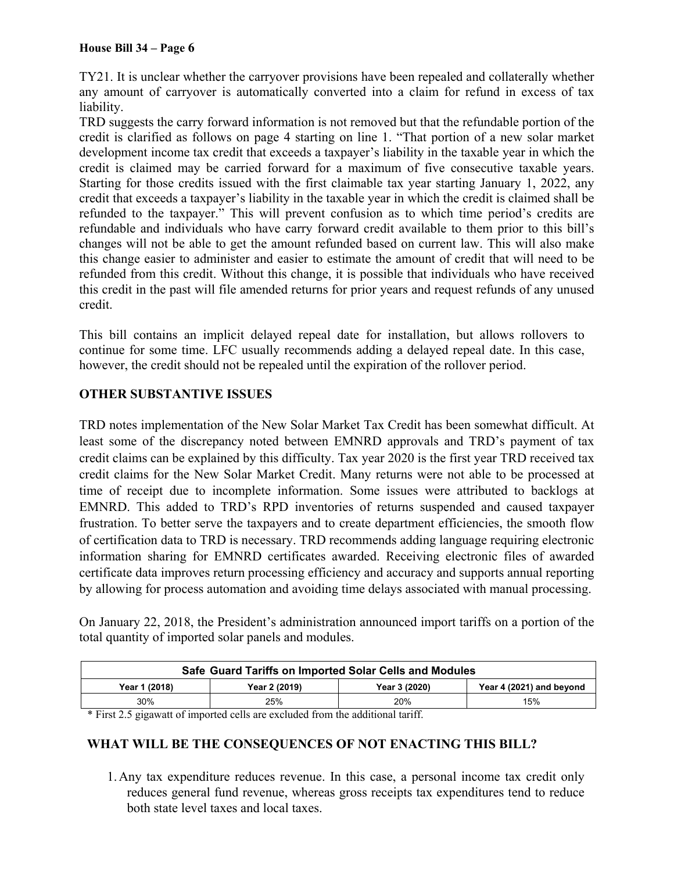TY21. It is unclear whether the carryover provisions have been repealed and collaterally whether any amount of carryover is automatically converted into a claim for refund in excess of tax liability.

TRD suggests the carry forward information is not removed but that the refundable portion of the credit is clarified as follows on page 4 starting on line 1. "That portion of a new solar market development income tax credit that exceeds a taxpayer's liability in the taxable year in which the credit is claimed may be carried forward for a maximum of five consecutive taxable years. Starting for those credits issued with the first claimable tax year starting January 1, 2022, any credit that exceeds a taxpayer's liability in the taxable year in which the credit is claimed shall be refunded to the taxpayer." This will prevent confusion as to which time period's credits are refundable and individuals who have carry forward credit available to them prior to this bill's changes will not be able to get the amount refunded based on current law. This will also make this change easier to administer and easier to estimate the amount of credit that will need to be refunded from this credit. Without this change, it is possible that individuals who have received this credit in the past will file amended returns for prior years and request refunds of any unused credit.

This bill contains an implicit delayed repeal date for installation, but allows rollovers to continue for some time. LFC usually recommends adding a delayed repeal date. In this case, however, the credit should not be repealed until the expiration of the rollover period.

# **OTHER SUBSTANTIVE ISSUES**

TRD notes implementation of the New Solar Market Tax Credit has been somewhat difficult. At least some of the discrepancy noted between EMNRD approvals and TRD's payment of tax credit claims can be explained by this difficulty. Tax year 2020 is the first year TRD received tax credit claims for the New Solar Market Credit. Many returns were not able to be processed at time of receipt due to incomplete information. Some issues were attributed to backlogs at EMNRD. This added to TRD's RPD inventories of returns suspended and caused taxpayer frustration. To better serve the taxpayers and to create department efficiencies, the smooth flow of certification data to TRD is necessary. TRD recommends adding language requiring electronic information sharing for EMNRD certificates awarded. Receiving electronic files of awarded certificate data improves return processing efficiency and accuracy and supports annual reporting by allowing for process automation and avoiding time delays associated with manual processing.

On January 22, 2018, the President's administration announced import tariffs on a portion of the total quantity of imported solar panels and modules.

| Safe Guard Tariffs on Imported Solar Cells and Modules |               |               |                          |  |
|--------------------------------------------------------|---------------|---------------|--------------------------|--|
| Year 1 (2018)                                          | Year 2 (2019) | Year 3 (2020) | Year 4 (2021) and beyond |  |
| 30%                                                    | 25%           | 20%           | 15%                      |  |

\* First 2.5 gigawatt of imported cells are excluded from the additional tariff.

## **WHAT WILL BE THE CONSEQUENCES OF NOT ENACTING THIS BILL?**

1.Any tax expenditure reduces revenue. In this case, a personal income tax credit only reduces general fund revenue, whereas gross receipts tax expenditures tend to reduce both state level taxes and local taxes.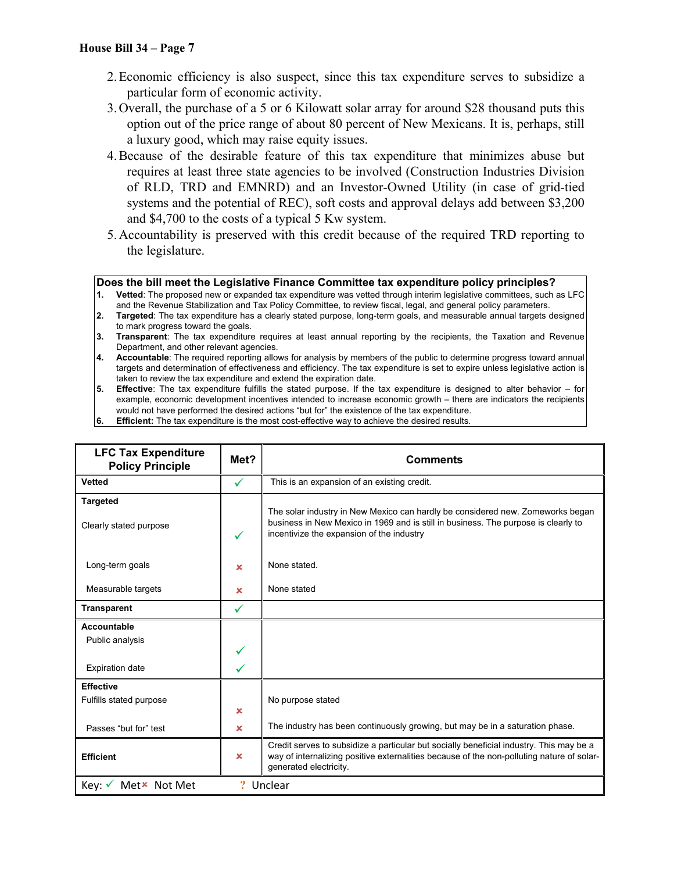- 2.Economic efficiency is also suspect, since this tax expenditure serves to subsidize a particular form of economic activity.
- 3.Overall, the purchase of a 5 or 6 Kilowatt solar array for around \$28 thousand puts this option out of the price range of about 80 percent of New Mexicans. It is, perhaps, still a luxury good, which may raise equity issues.
- 4.Because of the desirable feature of this tax expenditure that minimizes abuse but requires at least three state agencies to be involved (Construction Industries Division of RLD, TRD and EMNRD) and an Investor-Owned Utility (in case of grid-tied systems and the potential of REC), soft costs and approval delays add between \$3,200 and \$4,700 to the costs of a typical 5 Kw system.
- 5.Accountability is preserved with this credit because of the required TRD reporting to the legislature.

#### **Does the bill meet the Legislative Finance Committee tax expenditure policy principles?**

- **1. Vetted**: The proposed new or expanded tax expenditure was vetted through interim legislative committees, such as LFC and the Revenue Stabilization and Tax Policy Committee, to review fiscal, legal, and general policy parameters.
- **2. Targeted**: The tax expenditure has a clearly stated purpose, long-term goals, and measurable annual targets designed to mark progress toward the goals.
- **3. Transparent**: The tax expenditure requires at least annual reporting by the recipients, the Taxation and Revenue Department, and other relevant agencies.
- **4. Accountable**: The required reporting allows for analysis by members of the public to determine progress toward annual targets and determination of effectiveness and efficiency. The tax expenditure is set to expire unless legislative action is taken to review the tax expenditure and extend the expiration date.
- **5. Effective**: The tax expenditure fulfills the stated purpose. If the tax expenditure is designed to alter behavior for example, economic development incentives intended to increase economic growth – there are indicators the recipients would not have performed the desired actions "but for" the existence of the tax expenditure.
- **6. Efficient:** The tax expenditure is the most cost-effective way to achieve the desired results.

| <b>LFC Tax Expenditure</b><br><b>Policy Principle</b>    | Met? | <b>Comments</b>                                                                                                                                                                                                   |
|----------------------------------------------------------|------|-------------------------------------------------------------------------------------------------------------------------------------------------------------------------------------------------------------------|
| <b>Vetted</b>                                            | ✓    | This is an expansion of an existing credit.                                                                                                                                                                       |
| <b>Targeted</b><br>Clearly stated purpose                | ✓    | The solar industry in New Mexico can hardly be considered new. Zomeworks began<br>business in New Mexico in 1969 and is still in business. The purpose is clearly to<br>incentivize the expansion of the industry |
| Long-term goals                                          | ×    | None stated.                                                                                                                                                                                                      |
| Measurable targets                                       | ×    | None stated                                                                                                                                                                                                       |
| <b>Transparent</b>                                       | ✓    |                                                                                                                                                                                                                   |
| Accountable<br>Public analysis<br><b>Expiration date</b> | ✓    |                                                                                                                                                                                                                   |
|                                                          |      |                                                                                                                                                                                                                   |
| <b>Effective</b><br>Fulfills stated purpose              | ×    | No purpose stated                                                                                                                                                                                                 |
| Passes "but for" test                                    | ×    | The industry has been continuously growing, but may be in a saturation phase.                                                                                                                                     |
| <b>Efficient</b>                                         | ×    | Credit serves to subsidize a particular but socially beneficial industry. This may be a<br>way of internalizing positive externalities because of the non-polluting nature of solar-<br>generated electricity.    |
| Key: V Met <sup>x</sup> Not Met                          |      | Unclear                                                                                                                                                                                                           |